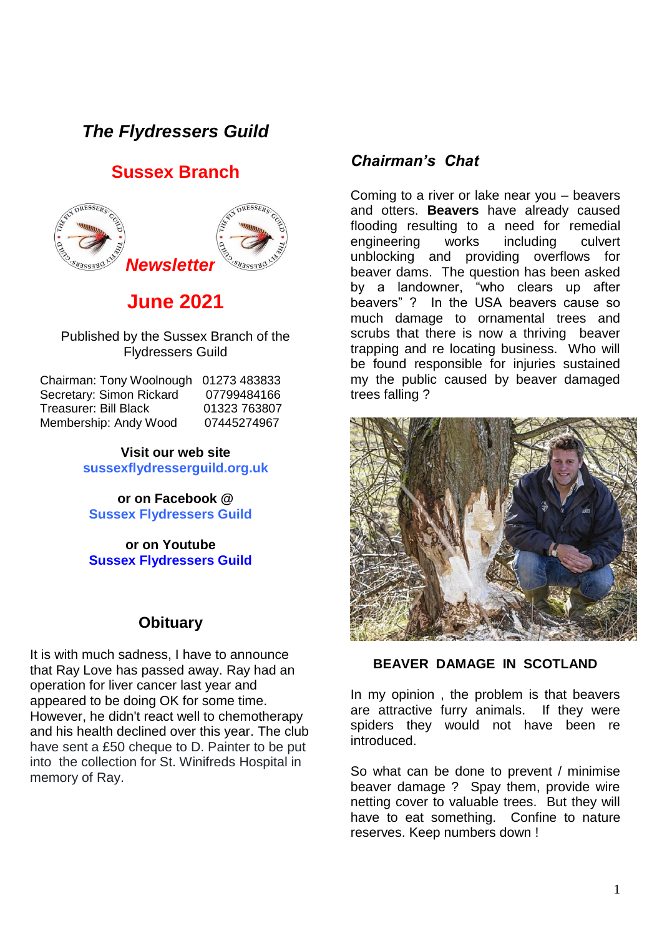# *The Flydressers Guild*

## **Sussex Branch**



# **June 2021**

Published by the Sussex Branch of the Flydressers Guild

| Chairman: Tony Woolnough 01273 483833 |              |
|---------------------------------------|--------------|
| Secretary: Simon Rickard              | 07799484166  |
| <b>Treasurer: Bill Black</b>          | 01323 763807 |
| Membership: Andy Wood                 | 07445274967  |

**Visit our web site sussexflydresserguild.org.uk**

**or on Facebook @ Sussex Flydressers Guild**

**or on Youtube Sussex Flydressers Guild**

#### **Obituary**

It is with much sadness, I have to announce that Ray Love has passed away. Ray had an operation for liver cancer last year and appeared to be doing OK for some time. However, he didn't react well to chemotherapy and his health declined over this year. The club have sent a £50 cheque to D. Painter to be put into the collection for St. Winifreds Hospital in memory of Ray.

#### *Chairman's Chat*

Coming to a river or lake near you – beavers and otters. **Beavers** have already caused flooding resulting to a need for remedial engineering works including culvert unblocking and providing overflows for beaver dams. The question has been asked by a landowner, "who clears up after beavers" ? In the USA beavers cause so much damage to ornamental trees and scrubs that there is now a thriving beaver trapping and re locating business. Who will be found responsible for injuries sustained my the public caused by beaver damaged trees falling ?



**BEAVER DAMAGE IN SCOTLAND**

In my opinion , the problem is that beavers are attractive furry animals. If they were spiders they would not have been re introduced.

So what can be done to prevent / minimise beaver damage ? Spay them, provide wire netting cover to valuable trees. But they will have to eat something. Confine to nature reserves. Keep numbers down !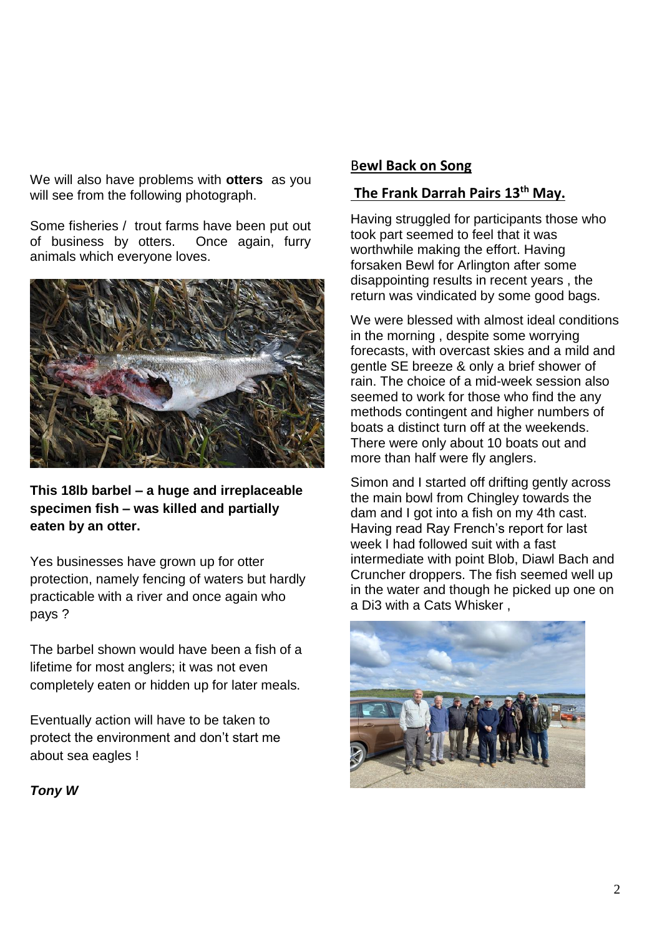We will also have problems with **otters** as you will see from the following photograph.

Some fisheries / trout farms have been put out of business by otters. Once again, furry animals which everyone loves.



**This 18lb barbel – a huge and irreplaceable specimen fish – was killed and partially eaten by an otter.** 

Yes businesses have grown up for otter protection, namely fencing of waters but hardly practicable with a river and once again who pays ?

The barbel shown would have been a fish of a lifetime for most anglers; it was not even completely eaten or hidden up for later meals.

Eventually action will have to be taken to protect the environment and don't start me about sea eagles !

#### B**ewl Back on Song**

# **The Frank Darrah Pairs 13th May.**

Having struggled for participants those who took part seemed to feel that it was worthwhile making the effort. Having forsaken Bewl for Arlington after some disappointing results in recent years , the return was vindicated by some good bags.

We were blessed with almost ideal conditions in the morning , despite some worrying forecasts, with overcast skies and a mild and gentle SE breeze & only a brief shower of rain. The choice of a mid-week session also seemed to work for those who find the any methods contingent and higher numbers of boats a distinct turn off at the weekends. There were only about 10 boats out and more than half were fly anglers.

Simon and I started off drifting gently across the main bowl from Chingley towards the dam and I got into a fish on my 4th cast. Having read Ray French's report for last week I had followed suit with a fast intermediate with point Blob, Diawl Bach and Cruncher droppers. The fish seemed well up in the water and though he picked up one on a Di3 with a Cats Whisker ,



*Tony W*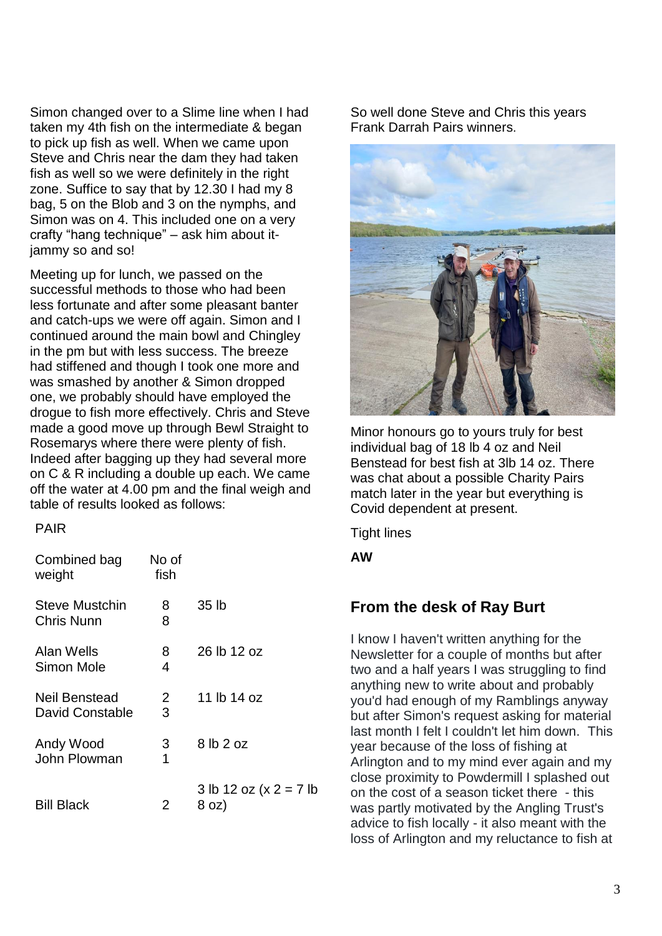Simon changed over to a Slime line when I had taken my 4th fish on the intermediate & began to pick up fish as well. When we came upon Steve and Chris near the dam they had taken fish as well so we were definitely in the right zone. Suffice to say that by 12.30 I had my 8 bag, 5 on the Blob and 3 on the nymphs, and Simon was on 4. This included one on a very crafty "hang technique" – ask him about itjammy so and so!

Meeting up for lunch, we passed on the successful methods to those who had been less fortunate and after some pleasant banter and catch-ups we were off again. Simon and I continued around the main bowl and Chingley in the pm but with less success. The breeze had stiffened and though I took one more and was smashed by another & Simon dropped one, we probably should have employed the drogue to fish more effectively. Chris and Steve made a good move up through Bewl Straight to Rosemarys where there were plenty of fish. Indeed after bagging up they had several more on C & R including a double up each. We came off the water at 4.00 pm and the final weigh and table of results looked as follows:

PAIR

| Combined bag<br>weight                  | No of<br>fish |                                     |
|-----------------------------------------|---------------|-------------------------------------|
| Steve Mustchin<br><b>Chris Nunn</b>     | 8<br>8        | 35 lb                               |
| Alan Wells<br>Simon Mole                | 8<br>4        | 26 lb 12 oz                         |
| Neil Benstead<br><b>David Constable</b> | 2<br>3        | 11 lb 14 oz                         |
| Andy Wood<br>John Plowman               | 3<br>1        | 8 lb 2 oz                           |
| <b>Bill Black</b>                       | 2             | 3 lb 12 oz (x $2 = 7$ lb<br>$8$ oz) |

So well done Steve and Chris this years Frank Darrah Pairs winners.



Minor honours go to yours truly for best individual bag of 18 lb 4 oz and Neil Benstead for best fish at 3lb 14 oz. There was chat about a possible Charity Pairs match later in the year but everything is Covid dependent at present.

Tight lines

**AW** 

### **From the desk of Ray Burt**

I know I haven't written anything for the Newsletter for a couple of months but after two and a half years I was struggling to find anything new to write about and probably you'd had enough of my Ramblings anyway but after Simon's request asking for material last month I felt I couldn't let him down. This year because of the loss of fishing at Arlington and to my mind ever again and my close proximity to Powdermill I splashed out on the cost of a season ticket there - this was partly motivated by the Angling Trust's advice to fish locally - it also meant with the loss of Arlington and my reluctance to fish at